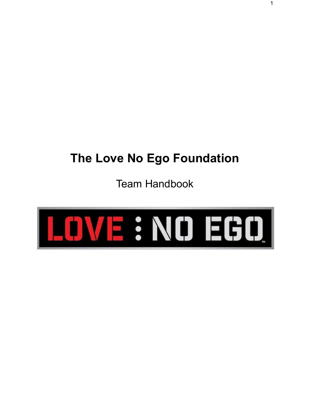# <span id="page-0-0"></span>**The Love No Ego Foundation**

Team Handbook

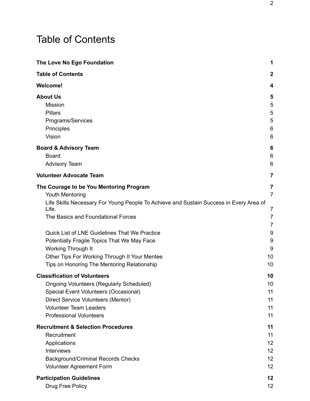## <span id="page-1-0"></span>Table of Contents

| The Love No Ego Foundation                                                                                                                                                                                                               | 1                                          |
|------------------------------------------------------------------------------------------------------------------------------------------------------------------------------------------------------------------------------------------|--------------------------------------------|
| <b>Table of Contents</b>                                                                                                                                                                                                                 | $\mathbf 2$                                |
| <b>Welcome!</b>                                                                                                                                                                                                                          | 4                                          |
| <b>About Us</b><br><b>Mission</b><br><b>Pillars</b><br>Programs/Services<br>Principles<br>Vision                                                                                                                                         | 5<br>5<br>5<br>5<br>6<br>6                 |
| <b>Board &amp; Advisory Team</b><br>Board<br><b>Advisory Team</b>                                                                                                                                                                        | 6<br>6<br>6                                |
| <b>Volunteer Advocate Team</b>                                                                                                                                                                                                           | 7                                          |
| The Courage to be You Mentoring Program<br>Youth Mentoring<br>Life Skills Necessary For Young People To Achieve and Sustain Success in Every Area of<br>Life.<br>The Basics and Foundational Forces                                      | 7<br>$\overline{7}$<br>7<br>$\overline{7}$ |
| Quick List of LNE Guidelines That We Practice<br>Potentially Fragile Topics That We May Face<br>Working Through It<br>Other Tips For Working Through It Your Mentee<br>Tips on Honoring The Mentoring Relationship                       | $\overline{7}$<br>9<br>9<br>9<br>10<br>10  |
| <b>Classification of Volunteers</b><br><b>Ongoing Volunteers (Regularly Scheduled)</b><br>Special Event Volunteers (Occasional)<br>Direct Service Volunteers (Mentor)<br><b>Volunteer Team Leaders</b><br><b>Professional Volunteers</b> | 10<br>10<br>11<br>11<br>11<br>11           |
| <b>Recruitment &amp; Selection Procedures</b><br>Recruitment<br>Applications<br><b>Interviews</b><br><b>Background/Criminal Records Checks</b><br>Volunteer Agreement Form                                                               | 11<br>11<br>12<br>12<br>12<br>12           |
| <b>Participation Guidelines</b><br>Drug Free Policy                                                                                                                                                                                      | 12<br>12                                   |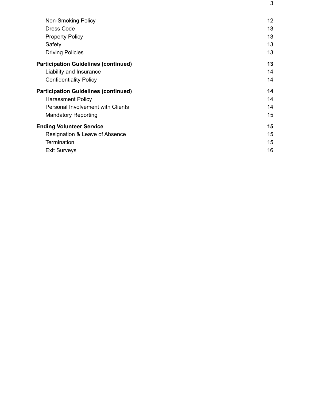| Non-Smoking Policy                          | 12 |
|---------------------------------------------|----|
| <b>Dress Code</b>                           | 13 |
| <b>Property Policy</b>                      | 13 |
| Safety                                      | 13 |
| <b>Driving Policies</b>                     | 13 |
| <b>Participation Guidelines (continued)</b> | 13 |
| Liability and Insurance                     | 14 |
| <b>Confidentiality Policy</b>               | 14 |
| <b>Participation Guidelines (continued)</b> | 14 |
| <b>Harassment Policy</b>                    | 14 |
| <b>Personal Involvement with Clients</b>    | 14 |
| <b>Mandatory Reporting</b>                  | 15 |
| <b>Ending Volunteer Service</b>             | 15 |
| Resignation & Leave of Absence              | 15 |
| <b>Termination</b>                          | 15 |
| <b>Exit Surveys</b>                         | 16 |

3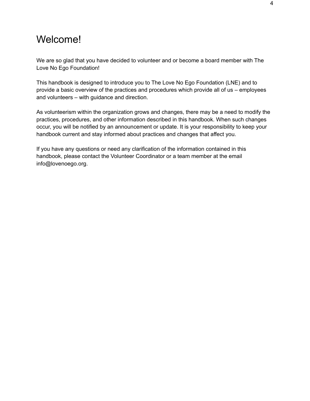### <span id="page-3-0"></span>Welcome!

We are so glad that you have decided to volunteer and or become a board member with The Love No Ego Foundation!

This handbook is designed to introduce you to The Love No Ego Foundation (LNE) and to provide a basic overview of the practices and procedures which provide all of us – employees and volunteers – with guidance and direction.

As volunteerism within the organization grows and changes, there may be a need to modify the practices, procedures, and other information described in this handbook. When such changes occur, you will be notified by an announcement or update. It is your responsibility to keep your handbook current and stay informed about practices and changes that affect you.

If you have any questions or need any clarification of the information contained in this handbook, please contact the Volunteer Coordinator or a team member at the email info@lovenoego.org.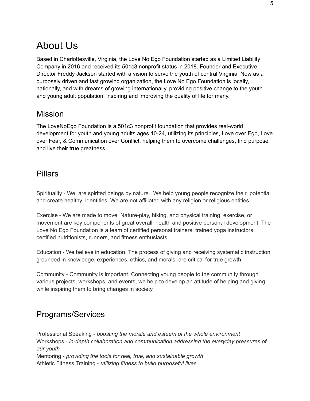### <span id="page-4-0"></span>About Us

Based in Charlottesville, Virginia, the Love No Ego Foundation started as a Limited Liability Company in 2016 and received its 501c3 nonprofit status in 2018. Founder and Executive Director Freddy Jackson started with a vision to serve the youth of central Virginia. Now as a purposely driven and fast growing organization, the Love No Ego Foundation is locally, nationally, and with dreams of growing internationally, providing positive change to the youth and young adult population, inspiring and improving the quality of life for many.

#### <span id="page-4-1"></span>Mission

The LoveNoEgo Foundation is a 501c3 nonprofit foundation that provides real-world development for youth and young adults ages 10-24, utilizing its principles, Love over Ego, Love over Fear, & Communication over Conflict, helping them to overcome challenges, find purpose, and live their true greatness.

#### <span id="page-4-2"></span>Pillars

Spirituality - We are spirited beings by nature. We help young people recognize their potential and create healthy identities. We are not affiliated with any religion or religious entities.

Exercise - We are made to move. Nature-play, hiking, and physical training, exercise, or movement are key components of great overall health and positive personal development. The Love No Ego Foundation is a team of certified personal trainers, trained yoga instructors, certified nutritionists, runners, and fitness enthusiasts.

Education - We believe in education. The process of giving and receiving systematic instruction grounded in knowledge, experiences, ethics, and morals, are critical for true growth.

Community - Community is important. Connecting young people to the community through various projects, workshops, and events, we help to develop an attitude of helping and giving while inspiring them to bring changes in society.

#### <span id="page-4-3"></span>Programs/Services

Professional Speaking - *boosting the morale and esteem of the whole environment* Workshops - *in-depth collaboration and communication addressing the everyday pressures of our youth* Mentoring - *providing the tools for real, true, and sustainable growth* Athletic Fitness Training - *utilizing fitness to build purposeful lives*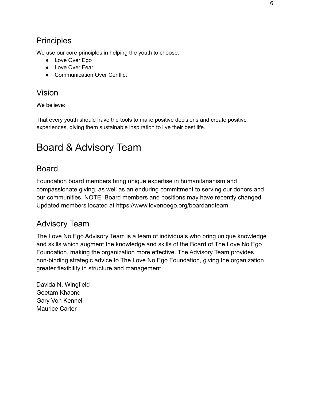#### <span id="page-5-0"></span>**Principles**

We use our core principles in helping the youth to choose:

- Love Over Ego
- Love Over Fear
- Communication Over Conflict

#### <span id="page-5-1"></span>Vision

We believe:

That every youth should have the tools to make positive decisions and create positive experiences, giving them sustainable inspiration to live their best life.

### <span id="page-5-2"></span>Board & Advisory Team

#### <span id="page-5-3"></span>Board

Foundation board members bring unique expertise in humanitarianism and compassionate giving, as well as an enduring commitment to serving our donors and our communities. NOTE: Board members and positions may have recently changed. Updated members located at https://www.lovenoego.org/boardandteam

#### <span id="page-5-4"></span>Advisory Team

The Love No Ego Advisory Team is a team of individuals who bring unique knowledge and skills which augment the knowledge and skills of the Board of The Love No Ego Foundation, making the organization more effective. The Advisory Team provides non-binding strategic advice to The Love No Ego Foundation, giving the organization greater flexibility in structure and management.

Davida N. Wingfield Geetam Khaond Gary Von Kennel Maurice Carter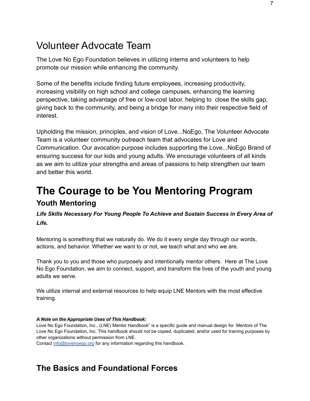### <span id="page-6-0"></span>Volunteer Advocate Team

The Love No Ego Foundation believes in utilizing interns and volunteers to help promote our mission while enhancing the community.

Some of the benefits include finding future employees, increasing productivity, increasing visibility on high school and college campuses, enhancing the learning perspective, taking advantage of free or low-cost labor, helping to close the skills gap, giving back to the community, and being a bridge for many into their respective field of interest.

Upholding the mission, principles, and vision of Love...NoEgo, The Volunteer Advocate Team is a volunteer community outreach team that advocates for Love and Communication. Our avocation purpose includes supporting the Love...NoEgo Brand of ensuring success for our kids and young adults. We encourage volunteers of all kinds as we aim to utilize your strengths and areas of passions to help strengthen our team and better this world.

### <span id="page-6-1"></span>**The Courage to be You Mentoring Program Youth Mentoring**

<span id="page-6-3"></span><span id="page-6-2"></span>*Life Skills Necessary For Young People To Achieve and Sustain Success in Every Area of Life.*

Mentoring is something that we naturally do. We do it every single day through our words, actions, and behavior. Whether we want to or not, we teach what and who we are.

Thank you to you and those who purposely and intentionally mentor others. Here at The Love No Ego Foundation, we aim to connect, support, and transform the lives of the youth and young adults we serve.

We utilize internal and external resources to help equip LNE Mentors with the most effective training.

#### *A Note on the Appropriate Uses of This Handbook:*

Love No Ego Foundation, Inc., (LNE) Mentor Handbook" is a specific guide and manual design for Mentors of The Love No Ego Foundation, Inc. This handbook should not be copied, duplicated, and/or used for training purposes by other organizations without permission from LNE.

Contact [info@lovenoego.org](mailto:info@lovenoego.org) for any information regarding this handbook.

#### <span id="page-6-5"></span><span id="page-6-4"></span>**The Basics and Foundational Forces**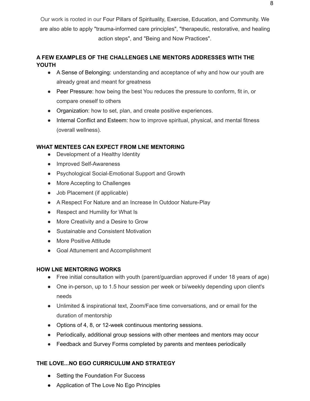Our work is rooted in our Four Pillars of Spirituality, Exercise, Education, and Community. We are also able to apply "trauma-informed care principles", "therapeutic, restorative, and healing action steps", and "Being and Now Practices".

#### **A FEW EXAMPLES OF THE CHALLENGES LNE MENTORS ADDRESSES WITH THE YOUTH**

- A Sense of Belonging: understanding and acceptance of why and how our youth are already great and meant for greatness
- Peer Pressure: how being the best You reduces the pressure to conform, fit in, or compare oneself to others
- Organization: how to set, plan, and create positive experiences.
- Internal Conflict and Esteem: how to improve spiritual, physical, and mental fitness (overall wellness).

#### **WHAT MENTEES CAN EXPECT FROM LNE MENTORING**

- **●** Development of a Healthy Identity
- Improved Self-Awareness
- Psychological Social-Emotional Support and Growth
- More Accepting to Challenges
- Job Placement (if applicable)
- A Respect For Nature and an Increase In Outdoor Nature-Play
- Respect and Humility for What Is
- More Creativity and a Desire to Grow
- Sustainable and Consistent Motivation
- More Positive Attitude
- Goal Attunement and Accomplishment

#### **HOW LNE MENTORING WORKS**

- Free initial consultation with youth (parent/guardian approved if under 18 years of age)
- One in-person, up to 1.5 hour session per week or bi/weekly depending upon client's needs
- Unlimited & inspirational text, Zoom/Face time conversations, and or email for the duration of mentorship
- Options of 4, 8, or 12-week continuous mentoring sessions.
- Periodically, additional group sessions with other mentees and mentors may occur
- Feedback and Survey Forms completed by parents and mentees periodically

#### **THE LOVE...NO EGO CURRICULUM AND STRATEGY**

- Setting the Foundation For Success
- Application of The Love No Ego Principles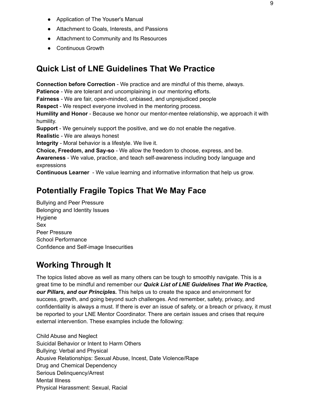- Application of The Youser's Manual
- Attachment to Goals, Interests, and Passions
- Attachment to Community and Its Resources
- Continuous Growth

#### <span id="page-8-0"></span>**Quick List of LNE Guidelines That We Practice**

**Connection before Correction** - We practice and are mindful of this theme, always.

**Patience** - We are tolerant and uncomplaining in our mentoring efforts.

**Fairness** - We are fair, open-minded, unbiased, and unprejudiced people

**Respect** - We respect everyone involved in the mentoring process.

**Humility and Honor** - Because we honor our mentor-mentee relationship, we approach it with humility.

**Support** - We genuinely support the positive, and we do not enable the negative.

**Realistic** - We are always honest

**Integrity** - Moral behavior is a lifestyle. We live it.

**Choice, Freedom, and Say-so** - We allow the freedom to choose, express, and be.

**Awareness** - We value, practice, and teach self-awareness including body language and expressions

<span id="page-8-1"></span>**Continuous Learner** - We value learning and informative information that help us grow.

#### **Potentially Fragile Topics That We May Face**

Bullying and Peer Pressure Belonging and Identity Issues Hygiene Sex Peer Pressure School Performance Confidence and Self-image Insecurities

#### <span id="page-8-2"></span>**Working Through It**

The topics listed above as well as many others can be tough to smoothly navigate. This is a great time to be mindful and remember our *Quick List of LNE Guidelines That We Practice, our Pillars, and our Principles.* This helps us to create the space and environment for success, growth, and going beyond such challenges. And remember, safety, privacy, and confidentiality is always a must. If there is ever an issue of safety, or a breach or privacy, it must be reported to your LNE Mentor Coordinator. There are certain issues and crises that require external intervention. These examples include the following:

Child Abuse and Neglect Suicidal Behavior or Intent to Harm Others Bullying: Verbal and Physical Abusive Relationships: Sexual Abuse, Incest, Date Violence/Rape Drug and Chemical Dependency Serious Delinquency/Arrest Mental Illness Physical Harassment: Sexual, Racial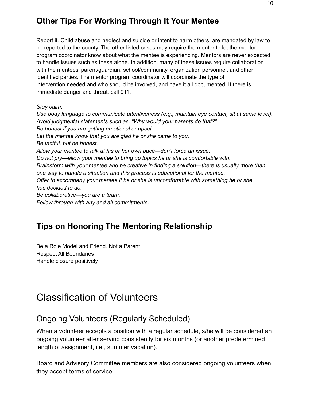#### <span id="page-9-0"></span>**Other Tips For Working Through It Your Mentee**

Report it. Child abuse and neglect and suicide or intent to harm others, are mandated by law to be reported to the county. The other listed crises may require the mentor to let the mentor program coordinator know about what the mentee is experiencing. Mentors are never expected to handle issues such as these alone. In addition, many of these issues require collaboration with the mentees' parent/guardian, school/community, organization personnel, and other identified parties. The mentor program coordinator will coordinate the type of intervention needed and who should be involved, and have it all documented. If there is immediate danger and threat, call 911.

*Stay calm.*

*Use body language to communicate attentiveness (e.g., maintain eye contact, sit at same level). Avoid judgmental statements such as, "Why would your parents do that?" Be honest if you are getting emotional or upset. Let the mentee know that you are glad he or she came to you. Be tactful, but be honest. Allow your mentee to talk at his or her own pace—don't force an issue. Do not pry—allow your mentee to bring up topics he or she is comfortable with. Brainstorm with your mentee and be creative in finding a solution—there is usually more than one way to handle a situation and this process is educational for the mentee. Offer to accompany your mentee if he or she is uncomfortable with something he or she has decided to do. Be collaborative—you are a team. Follow through with any and all commitments.*

#### <span id="page-9-1"></span>**Tips on Honoring The Mentoring Relationship**

Be a Role Model and Friend. Not a Parent Respect All Boundaries Handle closure positively

### <span id="page-9-2"></span>Classification of Volunteers

#### <span id="page-9-3"></span>Ongoing Volunteers (Regularly Scheduled)

When a volunteer accepts a position with a regular schedule, s/he will be considered an ongoing volunteer after serving consistently for six months (or another predetermined length of assignment, i.e., summer vacation).

Board and Advisory Committee members are also considered ongoing volunteers when they accept terms of service.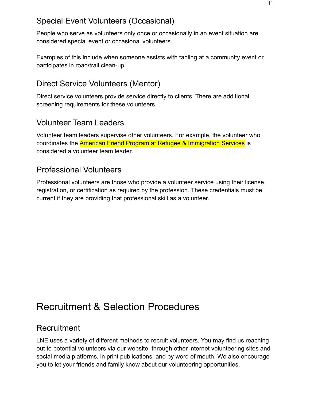#### <span id="page-10-0"></span>Special Event Volunteers (Occasional)

People who serve as volunteers only once or occasionally in an event situation are considered special event or occasional volunteers.

Examples of this include when someone assists with tabling at a community event or participates in road/trail clean-up.

#### <span id="page-10-1"></span>Direct Service Volunteers (Mentor)

Direct service volunteers provide service directly to clients. There are additional screening requirements for these volunteers.

#### <span id="page-10-2"></span>Volunteer Team Leaders

Volunteer team leaders supervise other volunteers. For example, the volunteer who coordinates the American Friend Program at Refugee & Immigration Services is considered a volunteer team leader.

#### <span id="page-10-3"></span>Professional Volunteers

Professional volunteers are those who provide a volunteer service using their license, registration, or certification as required by the profession. These credentials must be current if they are providing that professional skill as a volunteer.

## <span id="page-10-4"></span>Recruitment & Selection Procedures

#### <span id="page-10-5"></span>Recruitment

LNE uses a variety of different methods to recruit volunteers. You may find us reaching out to potential volunteers via our website, through other internet volunteering sites and social media platforms, in print publications, and by word of mouth. We also encourage you to let your friends and family know about our volunteering opportunities.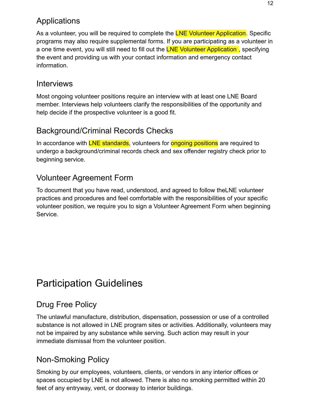#### <span id="page-11-0"></span>Applications

As a volunteer, you will be required to complete the LNE Volunteer Application. Specific programs may also require supplemental forms. If you are participating as a volunteer in a one time event, you will still need to fill out the **LNE Volunteer Application**, specifying the event and providing us with your contact information and emergency contact information.

#### <span id="page-11-1"></span>**Interviews**

Most ongoing volunteer positions require an interview with at least one LNE Board member. Interviews help volunteers clarify the responsibilities of the opportunity and help decide if the prospective volunteer is a good fit.

#### <span id="page-11-2"></span>Background/Criminal Records Checks

In accordance with LNE standards, volunteers for **ongoing positions** are required to undergo a background/criminal records check and sex offender registry check prior to beginning service.

### <span id="page-11-3"></span>Volunteer Agreement Form

To document that you have read, understood, and agreed to follow theLNE volunteer practices and procedures and feel comfortable with the responsibilities of your specific volunteer position, we require you to sign a Volunteer Agreement Form when beginning Service.

## <span id="page-11-4"></span>Participation Guidelines

### <span id="page-11-5"></span>Drug Free Policy

The unlawful manufacture, distribution, dispensation, possession or use of a controlled substance is not allowed in LNE program sites or activities. Additionally, volunteers may not be impaired by any substance while serving. Such action may result in your immediate dismissal from the volunteer position.

### <span id="page-11-6"></span>Non-Smoking Policy

Smoking by our employees, volunteers, clients, or vendors in any interior offices or spaces occupied by LNE is not allowed. There is also no smoking permitted within 20 feet of any entryway, vent, or doorway to interior buildings.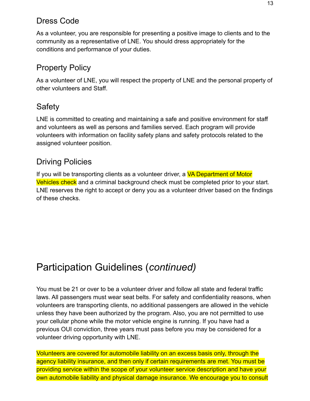#### <span id="page-12-0"></span>Dress Code

As a volunteer, you are responsible for presenting a positive image to clients and to the community as a representative of LNE. You should dress appropriately for the conditions and performance of your duties.

#### <span id="page-12-1"></span>Property Policy

As a volunteer of LNE, you will respect the property of LNE and the personal property of other volunteers and Staff.

#### <span id="page-12-2"></span>Safety

LNE is committed to creating and maintaining a safe and positive environment for staff and volunteers as well as persons and families served. Each program will provide volunteers with information on facility safety plans and safety protocols related to the assigned volunteer position.

#### <span id="page-12-3"></span>Driving Policies

If you will be transporting clients as a volunteer driver, a VA Department of Motor Vehicles check and a criminal background check must be completed prior to your start. LNE reserves the right to accept or deny you as a volunteer driver based on the findings of these checks.

## <span id="page-12-4"></span>Participation Guidelines (*continued)*

You must be 21 or over to be a volunteer driver and follow all state and federal traffic laws. All passengers must wear seat belts. For safety and confidentiality reasons, when volunteers are transporting clients, no additional passengers are allowed in the vehicle unless they have been authorized by the program. Also, you are not permitted to use your cellular phone while the motor vehicle engine is running. If you have had a previous OUI conviction, three years must pass before you may be considered for a volunteer driving opportunity with LNE.

Volunteers are covered for automobile liability on an excess basis only, through the agency liability insurance, and then only if certain requirements are met. You must be providing service within the scope of your volunteer service description and have your own automobile liability and physical damage insurance. We encourage you to consult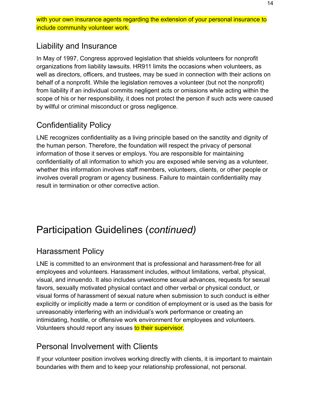with your own insurance agents regarding the extension of your personal insurance to include community volunteer work.

#### <span id="page-13-0"></span>Liability and Insurance

In May of 1997, Congress approved legislation that shields volunteers for nonprofit organizations from liability lawsuits. HR911 limits the occasions when volunteers, as well as directors, officers, and trustees, may be sued in connection with their actions on behalf of a nonprofit. While the legislation removes a volunteer (but not the nonprofit) from liability if an individual commits negligent acts or omissions while acting within the scope of his or her responsibility, it does not protect the person if such acts were caused by willful or criminal misconduct or gross negligence.

### <span id="page-13-1"></span>Confidentiality Policy

LNE recognizes confidentiality as a living principle based on the sanctity and dignity of the human person. Therefore, the foundation will respect the privacy of personal information of those it serves or employs. You are responsible for maintaining confidentiality of all information to which you are exposed while serving as a volunteer, whether this information involves staff members, volunteers, clients, or other people or involves overall program or agency business. Failure to maintain confidentiality may result in termination or other corrective action.

## <span id="page-13-2"></span>Participation Guidelines (*continued)*

#### <span id="page-13-3"></span>Harassment Policy

LNE is committed to an environment that is professional and harassment-free for all employees and volunteers. Harassment includes, without limitations, verbal, physical, visual, and innuendo. It also includes unwelcome sexual advances, requests for sexual favors, sexually motivated physical contact and other verbal or physical conduct, or visual forms of harassment of sexual nature when submission to such conduct is either explicitly or implicitly made a term or condition of employment or is used as the basis for unreasonably interfering with an individual's work performance or creating an intimidating, hostile, or offensive work environment for employees and volunteers. Volunteers should report any issues to their supervisor.

#### <span id="page-13-4"></span>Personal Involvement with Clients

If your volunteer position involves working directly with clients, it is important to maintain boundaries with them and to keep your relationship professional, not personal.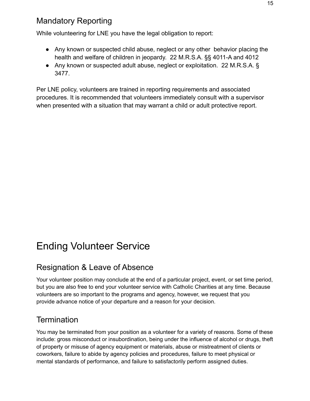#### <span id="page-14-0"></span>Mandatory Reporting

While volunteering for LNE you have the legal obligation to report:

- Any known or suspected child abuse, neglect or any other behavior placing the health and welfare of children in jeopardy. 22 M.R.S.A. §§ 4011-A and 4012
- Any known or suspected adult abuse, neglect or exploitation. 22 M.R.S.A. § 3477.

Per LNE policy, volunteers are trained in reporting requirements and associated procedures. It is recommended that volunteers immediately consult with a supervisor when presented with a situation that may warrant a child or adult protective report.

## <span id="page-14-1"></span>Ending Volunteer Service

#### <span id="page-14-2"></span>Resignation & Leave of Absence

Your volunteer position may conclude at the end of a particular project, event, or set time period, but you are also free to end your volunteer service with Catholic Charities at any time. Because volunteers are so important to the programs and agency, however, we request that you provide advance notice of your departure and a reason for your decision.

#### <span id="page-14-3"></span>**Termination**

You may be terminated from your position as a volunteer for a variety of reasons. Some of these include: gross misconduct or insubordination, being under the influence of alcohol or drugs, theft of property or misuse of agency equipment or materials, abuse or mistreatment of clients or coworkers, failure to abide by agency policies and procedures, failure to meet physical or mental standards of performance, and failure to satisfactorily perform assigned duties.